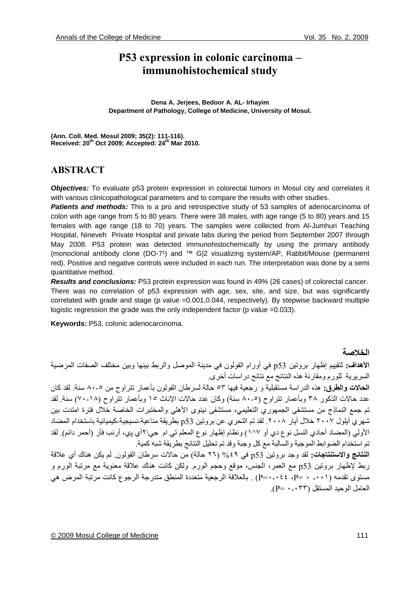# **P53 expression in colonic carcinoma – immunohistochemical study**

**Dena A. Jerjees, Bedoor A. AL- Irhayim Department of Pathology, College of Medicine, University of Mosul.** 

**(Ann. Coll. Med. Mosul 2009; 35(2): 111-116). Received: 20th Oct 2009; Accepted: 24th Mar 2010.** 

# **ABSTRACT**

*Objectives:* To evaluate p53 protein expression in colorectal tumors in Mosul city and correlates it with various clinicopathological parameters and to compare the results with other studies.

**Patients and methods:** This is a pro and retrospective study of 53 samples of adenocarcinoma of colon with age range from 5 to 80 years. There were 38 males, with age range (5 to 80) years and 15 females with age range (18 to 70) years. The samples were collected from Al-Jumhuri Teaching Hospital, Nineveh Private Hospital and private labs during the period from September 2007 through May 2008. P53 protein was detected immunohistochemically by using the primary antibody (monoclonal antibody clone (DO-7<sup>1</sup>) and ™ G|2 visualizing system/AP, Rabbit/Mouse (permanent red). Positive and negative controls were included in each run. The interpretation was done by a semi quantitative method.

*Results and conclusions:* P53 protein expression was found in 49% (26 cases) of colorectal cancer. There was no correlation of p53 expression with age, sex, site, and size, but was significantly correlated with grade and stage (p value =0.001,0.044, respectively). By stepwise backward multiple logistic regression the grade was the only independent factor (p value =0.033).

**Keywords:** P53, colonic adenocarcinoma.

#### **الخلاصة**

**الأهداف:** لتقييم إظهار بروتين 53p في أورام القولون في مدينة الموصل والربط بينها وبين مختلف الصفات المرضية السريرية للورم ومقارنة هذه النتائج مع نتائج دراسات أخرى.

**الحالات والطرق:** هذه الدراسة مستقبلية و رجعية فيها ٥٣ حالة لسرطان القولون بأعمار تتراوح من ٨٠-٥ سنة. لقد آان عدد حالات الذكور ٣٨ وبأعمار تتراوح (٥-٨٠ سنة) وكان عدد حالات الإناث ١٥ وبأعمار تتراوح (١٨-٧٠) سنة. لقد تم جمع النماذج من مستشفى الجمهوري التعليمي، مستشفى نينوى الأهلي والمختبرات الخاصة خلال فترة امتدت بين شهري أيلول ٢٠٠٧ خلال أيار .٢٠٠٨ لقد تم التحري عن بروتين 53p بطريقة مناعية-نسيجية-آيميائية باستخدام المضاد الأولي (المضاد أحادي النسل نوع دي أو ٧^١) ونظام إظهار نوع المعلم تي ام جي\٢أي پي، أرنب فأر (أحمر دائم). لقد تم استخدام الضوابط الموجبة والسالبة مع كل وجبة وقد تم تحليل النتائج بطريقة شبه كمية.

**النتائج والاستنتاجات:** لقد وجد بروتين 53p في %٤٩ (٢٦ حالة) من حالات سرطان القولون. لم يكن هناك أي علاقة ربط لإظهار بروتين p53 مع العمر، الجنس، موقع وحجم الورم. ولكن كانت هناك علاقة معنوية مع مرتبة الورم و مستوى تقدمه (٫٠٠١ ٠ =Р، ٠٫٠٤٤=Р (. بالعلاقة الرجعية متعددة المنطق متدرجة الرجوع آانت مرتبة المرض هي العامل الوحيد المستقل (٠٫٠٣٣ =Р(.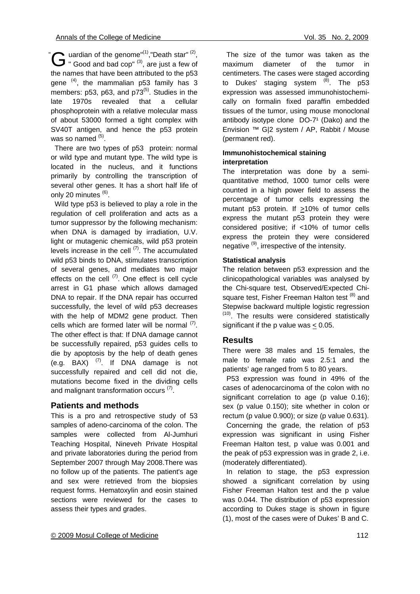uardian of the genome"<sup>(1)</sup>, "Death star"<sup>(2)</sup>, " $\mathbf{G}$  uardian of the genome"<sup>(1)</sup>, "Death star" <sup>(2)</sup>, are just a few of the names that have been attributed to the p53 gene  $(4)$ , the mammalian p53 family has 3 members:  $p53$ ,  $p63$ , and  $p73^{(5)}$ . Studies in the late 1970s revealed that a cellular phosphoprotein with a relative molecular mass of about 53000 formed a tight complex with SV40T antigen, and hence the p53 protein was so named (5).

 There are two types of p53 protein: normal or wild type and mutant type. The wild type is located in the nucleus, and it functions primarily by controlling the transcription of several other genes. It has a short half life of only 20 minutes <sup>(6)</sup>.

 Wild type p53 is believed to play a role in the regulation of cell proliferation and acts as a tumor suppressor by the following mechanism: when DNA is damaged by irradiation, U.V. light or mutagenic chemicals, wild p53 protein levels increase in the cell  $(7)$ . The accumulated wild p53 binds to DNA, stimulates transcription of several genes, and mediates two major effects on the cell  $(7)$ . One effect is cell cycle arrest in G1 phase which allows damaged DNA to repair. If the DNA repair has occurred successfully, the level of wild p53 decreases with the help of MDM2 gene product. Then cells which are formed later will be normal  $(7)$ . The other effect is that: If DNA damage cannot be successfully repaired, p53 guides cells to die by apoptosis by the help of death genes (e.g. BAX)  $(7)$ . If DNA damage is not successfully repaired and cell did not die, mutations become fixed in the dividing cells and malignant transformation occurs  $(7)$ .

# **Patients and methods**

This is a pro and retrospective study of 53 samples of adeno-carcinoma of the colon. The samples were collected from Al-Jumhuri Teaching Hospital, Nineveh Private Hospital and private laboratories during the period from September 2007 through May 2008.There was no follow up of the patients. The patient's age and sex were retrieved from the biopsies request forms. Hematoxylin and eosin stained sections were reviewed for the cases to assess their types and grades.

 The size of the tumor was taken as the maximum diameter of the tumor in centimeters. The cases were staged according to Dukes' staging system  $(8)$ . The p53 expression was assessed immunohistochemically on formalin fixed paraffin embedded tissues of the tumor, using mouse monoclonal antibody isotype clone DO-7<sup>1</sup> (Dako) and the Envision ™ G|2 system / AP, Rabbit / Mouse (permanent red).

#### **Immunohistochemical staining interpretation**

The interpretation was done by a semiquantitative method, 1000 tumor cells were counted in a high power field to assess the percentage of tumor cells expressing the mutant p53 protein. If >10% of tumor cells express the mutant p53 protein they were considered positive; if <10% of tumor cells express the protein they were considered negative (9), irrespective of the intensity.

### **Statistical analysis**

The relation between p53 expression and the clinicopathological variables was analysed by the Chi-square test, Observed/Expected Chisquare test, Fisher Freeman Halton test (8) and Stepwise backward multiple logistic regression  $(10)$ . The results were considered statistically significant if the p value was  $\leq 0.05$ .

# **Results**

There were 38 males and 15 females, the male to female ratio was 2.5:1 and the patients' age ranged from 5 to 80 years.

 P53 expression was found in 49% of the cases of adenocarcinoma of the colon with no significant correlation to age (p value 0.16); sex (p value 0.150); site whether in colon or rectum (p value 0.900); or size (p value 0.631).

 Concerning the grade, the relation of p53 expression was significant in using Fisher Freeman Halton test, p value was 0.001 and the peak of p53 expression was in grade 2, i.e. (moderately differentiated).

 In relation to stage, the p53 expression showed a significant correlation by using Fisher Freeman Halton test and the p value was 0.044. The distribution of p53 expression according to Dukes stage is shown in figure (1), most of the cases were of Dukes' B and C.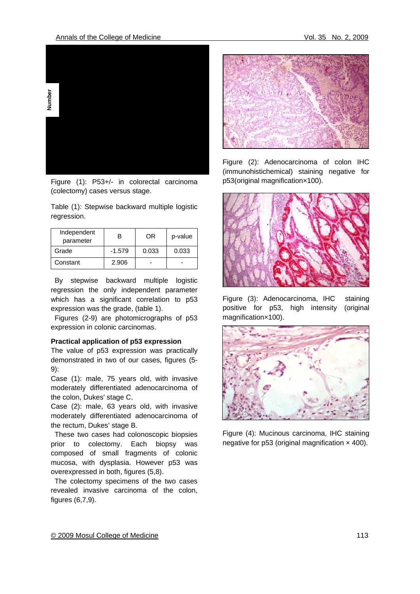

Figure (1): P53+/- in colorectal carcinoma (colectomy) cases versus stage.

Table (1): Stepwise backward multiple logistic regression.

| Independent<br>parameter | R        | OR    | p-value |
|--------------------------|----------|-------|---------|
| Grade                    | $-1.579$ | 0.033 | 0.033   |
| Constant                 | 2.906    |       |         |

 By stepwise backward multiple logistic regression the only independent parameter which has a significant correlation to p53 expression was the grade, (table 1).

 Figures (2-9) are photomicrographs of p53 expression in colonic carcinomas.

#### **Practical application of p53 expression**

The value of p53 expression was practically demonstrated in two of our cases, figures (5- 9):

Case (1): male, 75 years old, with invasive moderately differentiated adenocarcinoma of the colon, Dukes' stage C.

Case (2): male, 63 years old, with invasive moderately differentiated adenocarcinoma of the rectum, Dukes' stage B.

 These two cases had colonoscopic biopsies prior to colectomy. Each biopsy was composed of small fragments of colonic mucosa, with dysplasia. However p53 was overexpressed in both, figures (5,8).

 The colectomy specimens of the two cases revealed invasive carcinoma of the colon, figures (6,7,9).



Figure (2): Adenocarcinoma of colon IHC (immunohistichemical) staining negative for p53(original magnification×100).



Figure (3): Adenocarcinoma, IHC staining positive for p53, high intensity (original magnification×100).



Figure (4): Mucinous carcinoma, IHC staining negative for  $p53$  (original magnification  $\times$  400).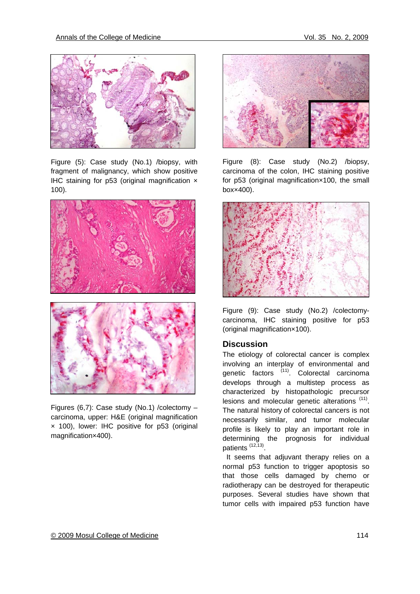

Figure (5): Case study (No.1) /biopsy, with fragment of malignancy, which show positive IHC staining for p53 (original magnification × 100).



Figures (6,7): Case study (No.1) /colectomy – carcinoma, upper: H&E (original magnification × 100), lower: IHC positive for p53 (original magnification×400).



Figure (8): Case study (No.2) /biopsy, carcinoma of the colon, IHC staining positive for p53 (original magnification×100, the small box×400).



Figure (9): Case study (No.2) /colectomycarcinoma, IHC staining positive for p53 (original magnification×100).

# **Discussion**

The etiology of colorectal cancer is complex involving an interplay of environmental and genetic factors <sup>(11)</sup>. Colorectal carcinoma develops through a multistep process as characterized by histopathologic precursor lesions and molecular genetic alterations (11). The natural history of colorectal cancers is not necessarily similar, and tumor molecular profile is likely to play an important role in determining the prognosis for individual patients (12,13).

 It seems that adjuvant therapy relies on a normal p53 function to trigger apoptosis so that those cells damaged by chemo or radiotherapy can be destroyed for therapeutic purposes. Several studies have shown that tumor cells with impaired p53 function have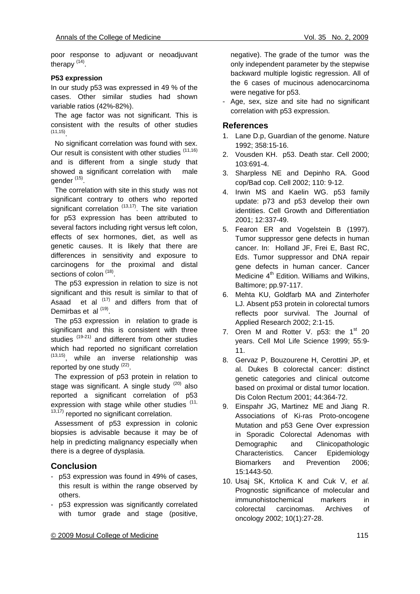poor response to adjuvant or neoadjuvant therapy (14).

#### **P53 expression**

In our study p53 was expressed in 49 % of the cases. Other similar studies had shown variable ratios (42%-82%).

 The age factor was not significant. This is consistent with the results of other studies  $(11, 15)$ 

 No significant correlation was found with sex. Our result is consistent with other studies (11,16) and is different from a single study that showed a significant correlation with male  $q$ ender  $(15)$ .

 The correlation with site in this study was not significant contrary to others who reported significant correlation  $(13,17)$ . The site variation for p53 expression has been attributed to several factors including right versus left colon, effects of sex hormones, diet, as well as genetic causes. It is likely that there are differences in sensitivity and exposure to carcinogens for the proximal and distal sections of colon<sup>(18)</sup>.

 The p53 expression in relation to size is not significant and this result is similar to that of Asaad et al  $(17)$  and differs from that of Demirbas et al <sup>(19)</sup>.

 The p53 expression in relation to grade is significant and this is consistent with three studies<sup>(19-21)</sup> and different from other studies which had reported no significant correlation (13,15), while an inverse relationship was reported by one study  $(22)$ .

 The expression of p53 protein in relation to stage was significant. A single study  $(20)$  also reported a significant correlation of p53 expression with stage while other studies (11,  $13,17$ ) reported no significant correlation.

 Assessment of p53 expression in colonic biopsies is advisable because it may be of help in predicting malignancy especially when there is a degree of dysplasia.

# **Conclusion**

- p53 expression was found in 49% of cases, this result is within the range observed by others.
- p53 expression was significantly correlated with tumor grade and stage (positive,

negative). The grade of the tumor was the only independent parameter by the stepwise backward multiple logistic regression. All of the 6 cases of mucinous adenocarcinoma were negative for p53.

Age, sex, size and site had no significant correlation with p53 expression.

#### **References**

- 1. Lane D.p, Guardian of the genome. Nature 1992; 358:15-16.
- 2. Vousden KH. p53. Death star*.* Cell 2000; 103:691-4.
- 3. Sharpless NE and Depinho RA. Good cop/Bad cop. Cell 2002; 110: 9-12.
- 4. Irwin MS and Kaelin WG. p53 family update: p73 and p53 develop their own identities. Cell Growth and Differentiation 2001; 12:337-49.
- 5. Fearon ER and Vogelstein B (1997). Tumor suppressor gene defects in human cancer. In: Holland JF, Frei E, Bast RC, Eds. Tumor suppressor and DNA repair gene defects in human cancer. Cancer Medicine  $4<sup>th</sup>$  Edition. Williams and Wilkins, Baltimore; pp.97-117.
- 6. Mehta KU, Goldfarb MA and Zinterhofer LJ. Absent p53 protein in colorectal tumors reflects poor survival. The Journal of Applied Research 2002; 2:1-15.
- 7. Oren M and Rotter V.  $p53$ : the 1<sup>st</sup> 20 years. Cell Mol Life Science 1999; 55:9- 11.
- 8. Gervaz P, Bouzourene H, Cerottini JP, et al. Dukes B colorectal cancer: distinct genetic categories and clinical outcome based on proximal or distal tumor location. Dis Colon Rectum 2001; 44:364-72.
- 9. Einspahr JG, Martinez ME and JiangR. Associations of Ki-ras Proto-oncogene Mutation and p53 Gene Over expression in Sporadic Colorectal Adenomas with Demographic and Clinicopathologic Characteristics*.* Cancer Epidemiology Biomarkers and Prevention 2006; 15:1443-50.
- 10. Usaj SK, Krtolica K and Cuk V, *et al.* Prognostic significance of molecular and immunohistochemical markers in colorectal carcinomas. Archives of oncology 2002; 10(1):27-28.